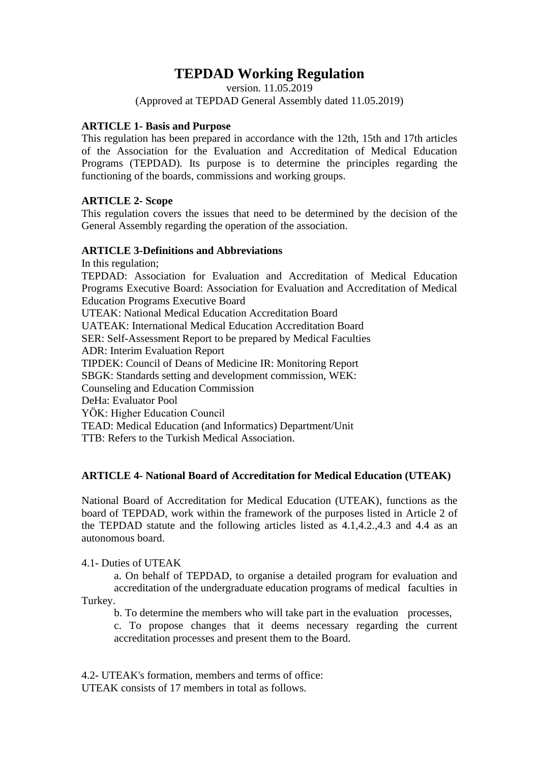# **TEPDAD Working Regulation**

version. 11.05.2019 (Approved at TEPDAD General Assembly dated 11.05.2019)

### **ARTICLE 1- Basis and Purpose**

This regulation has been prepared in accordance with the 12th, 15th and 17th articles of the Association for the Evaluation and Accreditation of Medical Education Programs (TEPDAD). Its purpose is to determine the principles regarding the functioning of the boards, commissions and working groups.

# **ARTICLE 2- Scope**

This regulation covers the issues that need to be determined by the decision of the General Assembly regarding the operation of the association.

#### **ARTICLE 3-Definitions and Abbreviations**

In this regulation;

TEPDAD: Association for Evaluation and Accreditation of Medical Education Programs Executive Board: Association for Evaluation and Accreditation of Medical Education Programs Executive Board UTEAK: National Medical Education Accreditation Board

UATEAK: International Medical Education Accreditation Board

SER: Self-Assessment Report to be prepared by Medical Faculties

ADR: Interim Evaluation Report

TIPDEK: Council of Deans of Medicine IR: Monitoring Report

SBGK: Standards setting and development commission, WEK:

Counseling and Education Commission

DeHa: Evaluator Pool

YÖK: Higher Education Council

TEAD: Medical Education (and Informatics) Department/Unit

TTB: Refers to the Turkish Medical Association.

# **ARTICLE 4- National Board of Accreditation for Medical Education (UTEAK)**

National Board of Accreditation for Medical Education (UTEAK), functions as the board of TEPDAD, work within the framework of the purposes listed in Article 2 of the TEPDAD statute and the following articles listed as 4.1,4.2.,4.3 and 4.4 as an autonomous board.

4.1- Duties of UTEAK

a. On behalf of TEPDAD, to organise a detailed program for evaluation and accreditation of the undergraduate education programs of medical faculties in Turkey.

b. To determine the members who will take part in the evaluation processes,

c. To propose changes that it deems necessary regarding the current accreditation processes and present them to the Board.

4.2- UTEAK's formation, members and terms of office: UTEAK consists of 17 members in total as follows.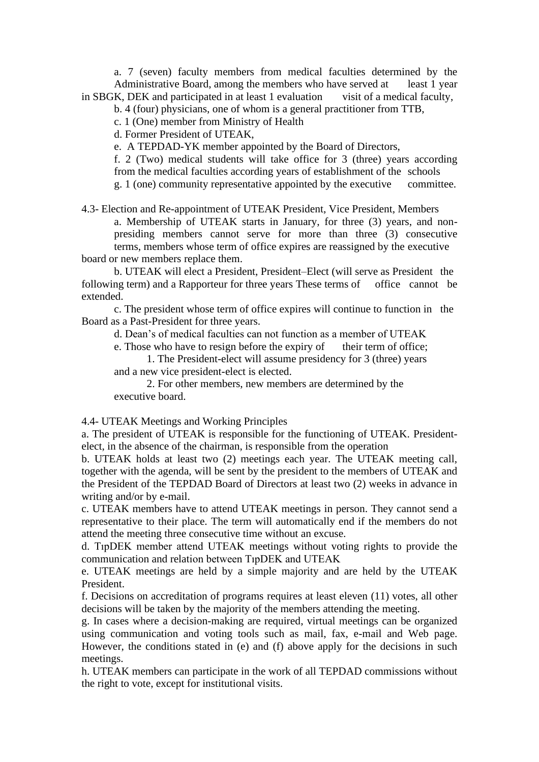a. 7 (seven) faculty members from medical faculties determined by the Administrative Board, among the members who have served at least 1 year in SBGK, DEK and participated in at least 1 evaluation visit of a medical faculty,

b. 4 (four) physicians, one of whom is a general practitioner from TTB,

c. 1 (One) member from Ministry of Health

d. Former President of UTEAK,

e. A TEPDAD-YK member appointed by the Board of Directors,

f. 2 (Two) medical students will take office for 3 (three) years according from the medical faculties according years of establishment of the schools g. 1 (one) community representative appointed by the executive committee.

4.3- Election and Re-appointment of UTEAK President, Vice President, Members a. Membership of UTEAK starts in January, for three (3) years, and nonpresiding members cannot serve for more than three (3) consecutive terms, members whose term of office expires are reassigned by the executive board or new members replace them.

b. UTEAK will elect a President, President–Elect (will serve as President the following term) and a Rapporteur for three years These terms of office cannot be extended.

c. The president whose term of office expires will continue to function in the Board as a Past-President for three years.

d. Dean's of medical faculties can not function as a member of UTEAK

e. Those who have to resign before the expiry of their term of office; 1. The President-elect will assume presidency for 3 (three) years

and a new vice president-elect is elected.

2. For other members, new members are determined by the executive board.

4.4- UTEAK Meetings and Working Principles

a. The president of UTEAK is responsible for the functioning of UTEAK. Presidentelect, in the absence of the chairman, is responsible from the operation

b. UTEAK holds at least two (2) meetings each year. The UTEAK meeting call, together with the agenda, will be sent by the president to the members of UTEAK and the President of the TEPDAD Board of Directors at least two (2) weeks in advance in writing and/or by e-mail.

c. UTEAK members have to attend UTEAK meetings in person. They cannot send a representative to their place. The term will automatically end if the members do not attend the meeting three consecutive time without an excuse.

d. TıpDEK member attend UTEAK meetings without voting rights to provide the communication and relation between TıpDEK and UTEAK

e. UTEAK meetings are held by a simple majority and are held by the UTEAK President.

f. Decisions on accreditation of programs requires at least eleven (11) votes, all other decisions will be taken by the majority of the members attending the meeting.

g. In cases where a decision-making are required, virtual meetings can be organized using communication and voting tools such as mail, fax, e-mail and Web page. However, the conditions stated in (e) and (f) above apply for the decisions in such meetings.

h. UTEAK members can participate in the work of all TEPDAD commissions without the right to vote, except for institutional visits.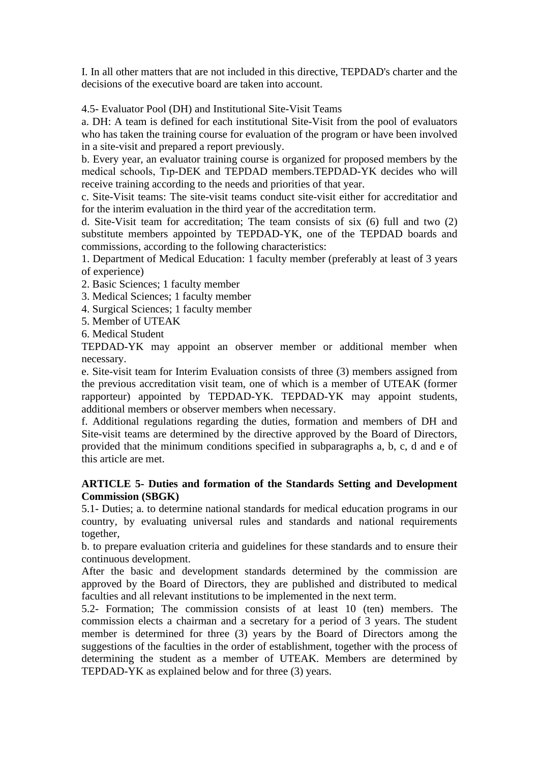I. In all other matters that are not included in this directive, TEPDAD's charter and the decisions of the executive board are taken into account.

4.5- Evaluator Pool (DH) and Institutional Site-Visit Teams

a. DH: A team is defined for each institutional Site-Visit from the pool of evaluators who has taken the training course for evaluation of the program or have been involved in a site-visit and prepared a report previously.

b. Every year, an evaluator training course is organized for proposed members by the medical schools, Tıp-DEK and TEPDAD members.TEPDAD-YK decides who will receive training according to the needs and priorities of that year.

c. Site-Visit teams: The site-visit teams conduct site-visit either for accreditatior and for the interim evaluation in the third year of the accreditation term.

d. Site-Visit team for accreditation; The team consists of six (6) full and two (2) substitute members appointed by TEPDAD-YK, one of the TEPDAD boards and commissions, according to the following characteristics:

1. Department of Medical Education: 1 faculty member (preferably at least of 3 years of experience)

- 2. Basic Sciences; 1 faculty member
- 3. Medical Sciences; 1 faculty member

4. Surgical Sciences; 1 faculty member

5. Member of UTEAK

6. Medical Student

TEPDAD-YK may appoint an observer member or additional member when necessary.

e. Site-visit team for Interim Evaluation consists of three (3) members assigned from the previous accreditation visit team, one of which is a member of UTEAK (former rapporteur) appointed by TEPDAD-YK. TEPDAD-YK may appoint students, additional members or observer members when necessary.

f. Additional regulations regarding the duties, formation and members of DH and Site-visit teams are determined by the directive approved by the Board of Directors, provided that the minimum conditions specified in subparagraphs a, b, c, d and e of this article are met.

# **ARTICLE 5- Duties and formation of the Standards Setting and Development Commission (SBGK)**

5.1- Duties; a. to determine national standards for medical education programs in our country, by evaluating universal rules and standards and national requirements together,

b. to prepare evaluation criteria and guidelines for these standards and to ensure their continuous development.

After the basic and development standards determined by the commission are approved by the Board of Directors, they are published and distributed to medical faculties and all relevant institutions to be implemented in the next term.

5.2- Formation; The commission consists of at least 10 (ten) members. The commission elects a chairman and a secretary for a period of 3 years. The student member is determined for three (3) years by the Board of Directors among the suggestions of the faculties in the order of establishment, together with the process of determining the student as a member of UTEAK. Members are determined by TEPDAD-YK as explained below and for three (3) years.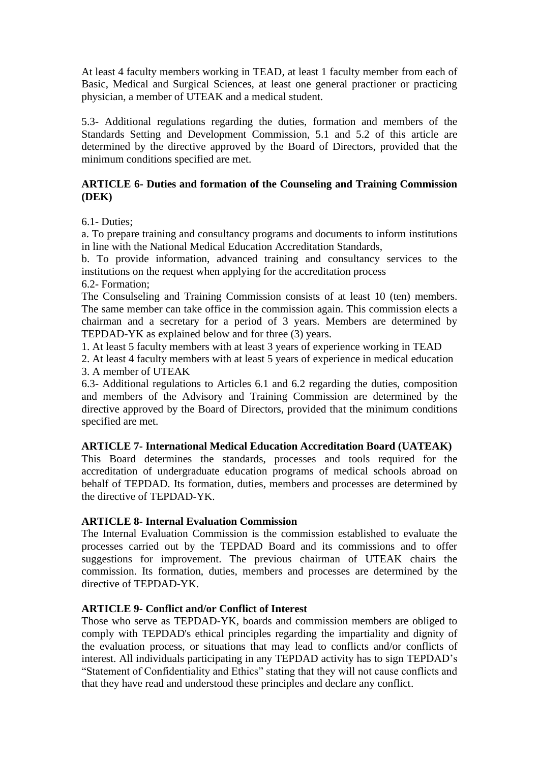At least 4 faculty members working in TEAD, at least 1 faculty member from each of Basic, Medical and Surgical Sciences, at least one general practioner or practicing physician, a member of UTEAK and a medical student.

5.3- Additional regulations regarding the duties, formation and members of the Standards Setting and Development Commission, 5.1 and 5.2 of this article are determined by the directive approved by the Board of Directors, provided that the minimum conditions specified are met.

### **ARTICLE 6- Duties and formation of the Counseling and Training Commission (DEK)**

6.1- Duties;

a. To prepare training and consultancy programs and documents to inform institutions in line with the National Medical Education Accreditation Standards,

b. To provide information, advanced training and consultancy services to the institutions on the request when applying for the accreditation process

6.2- Formation;

The Consulseling and Training Commission consists of at least 10 (ten) members. The same member can take office in the commission again. This commission elects a chairman and a secretary for a period of 3 years. Members are determined by TEPDAD-YK as explained below and for three (3) years.

1. At least 5 faculty members with at least 3 years of experience working in TEAD

2. At least 4 faculty members with at least 5 years of experience in medical education 3. A member of UTEAK

6.3- Additional regulations to Articles 6.1 and 6.2 regarding the duties, composition and members of the Advisory and Training Commission are determined by the directive approved by the Board of Directors, provided that the minimum conditions specified are met.

#### **ARTICLE 7- International Medical Education Accreditation Board (UATEAK)**

This Board determines the standards, processes and tools required for the accreditation of undergraduate education programs of medical schools abroad on behalf of TEPDAD. Its formation, duties, members and processes are determined by the directive of TEPDAD-YK.

#### **ARTICLE 8- Internal Evaluation Commission**

The Internal Evaluation Commission is the commission established to evaluate the processes carried out by the TEPDAD Board and its commissions and to offer suggestions for improvement. The previous chairman of UTEAK chairs the commission. Its formation, duties, members and processes are determined by the directive of TEPDAD-YK.

# **ARTICLE 9- Conflict and/or Conflict of Interest**

Those who serve as TEPDAD-YK, boards and commission members are obliged to comply with TEPDAD's ethical principles regarding the impartiality and dignity of the evaluation process, or situations that may lead to conflicts and/or conflicts of interest. All individuals participating in any TEPDAD activity has to sign TEPDAD's "Statement of Confidentiality and Ethics" stating that they will not cause conflicts and that they have read and understood these principles and declare any conflict.